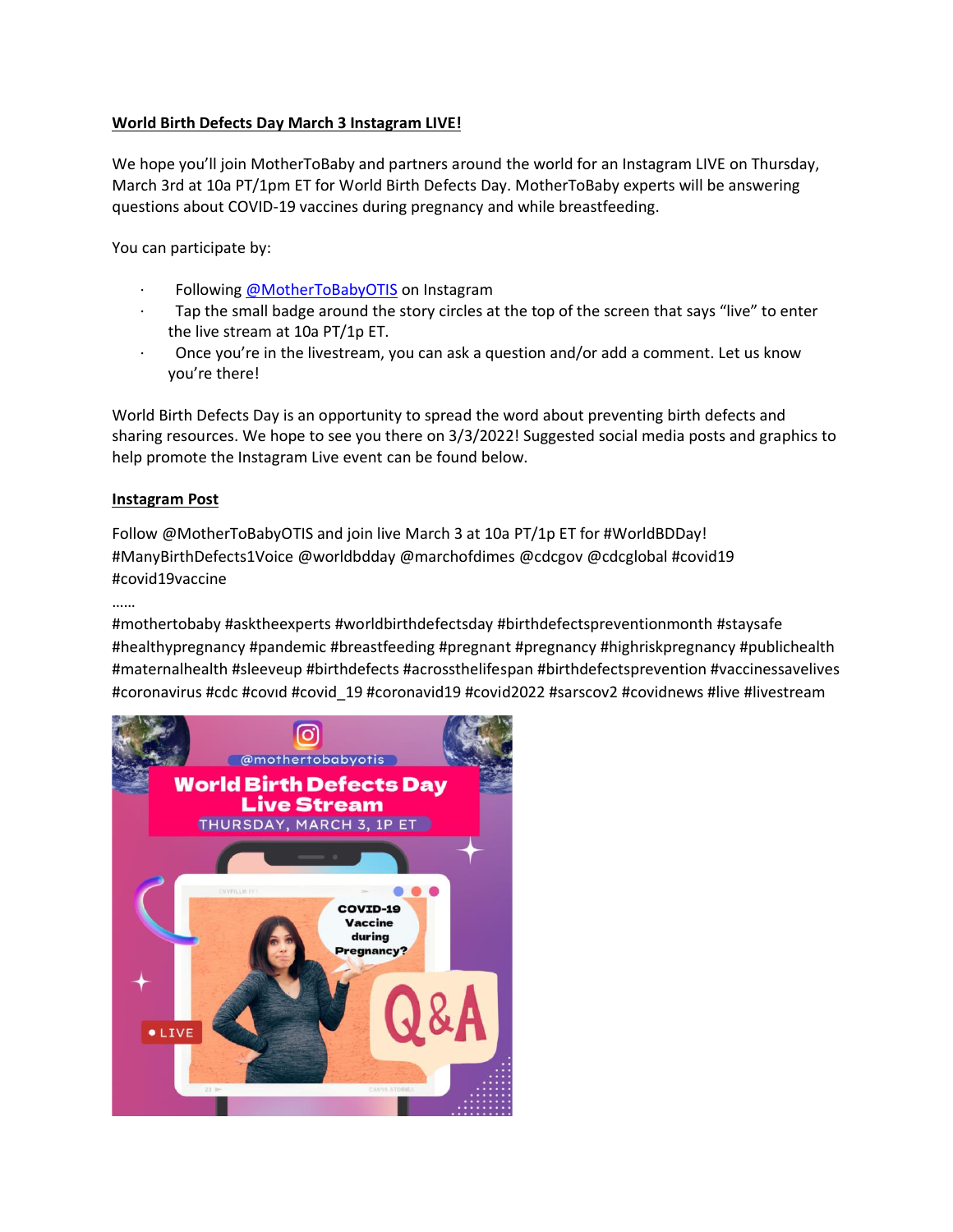# **World Birth Defects Day March 3 Instagram LIVE!**

We hope you'll join MotherToBaby and partners around the world for an Instagram LIVE on Thursday, March 3rd at 10a PT/1pm ET for World Birth Defects Day. MotherToBaby experts will be answering questions about COVID-19 vaccines during pregnancy and while breastfeeding.

You can participate by:

- Following [@MotherToBabyOTIS](https://urldefense.com/v3/__https:/www.instagram.com/mothertobabyotis/__;!!LLK065n_VXAQ!wAoALlqOLUE60nATy5ZuZSxoL5-hErIn6Z63J-8DWAOnddUZs5OnrU_SsVNrFXCuiXr9CXN73pc$) on Instagram
- Tap the small badge around the story circles at the top of the screen that says "live" to enter the live stream at 10a PT/1p ET.
- · Once you're in the livestream, you can ask a question and/or add a comment. Let us know you're there!

World Birth Defects Day is an opportunity to spread the word about preventing birth defects and sharing resources. We hope to see you there on 3/3/2022! Suggested social media posts and graphics to help promote the Instagram Live event can be found below.

### **Instagram Post**

Follow @MotherToBabyOTIS and join live March 3 at 10a PT/1p ET for #WorldBDDay! #ManyBirthDefects1Voice @worldbdday @marchofdimes @cdcgov @cdcglobal #covid19 #covid19vaccine

#### ……

#mothertobaby #asktheexperts #worldbirthdefectsday #birthdefectspreventionmonth #staysafe #healthypregnancy #pandemic #breastfeeding #pregnant #pregnancy #highriskpregnancy #publichealth #maternalhealth #sleeveup #birthdefects #acrossthelifespan #birthdefectsprevention #vaccinessavelives #coronavirus #cdc #covıd #covid\_19 #coronavid19 #covid2022 #sarscov2 #covidnews #live #livestream